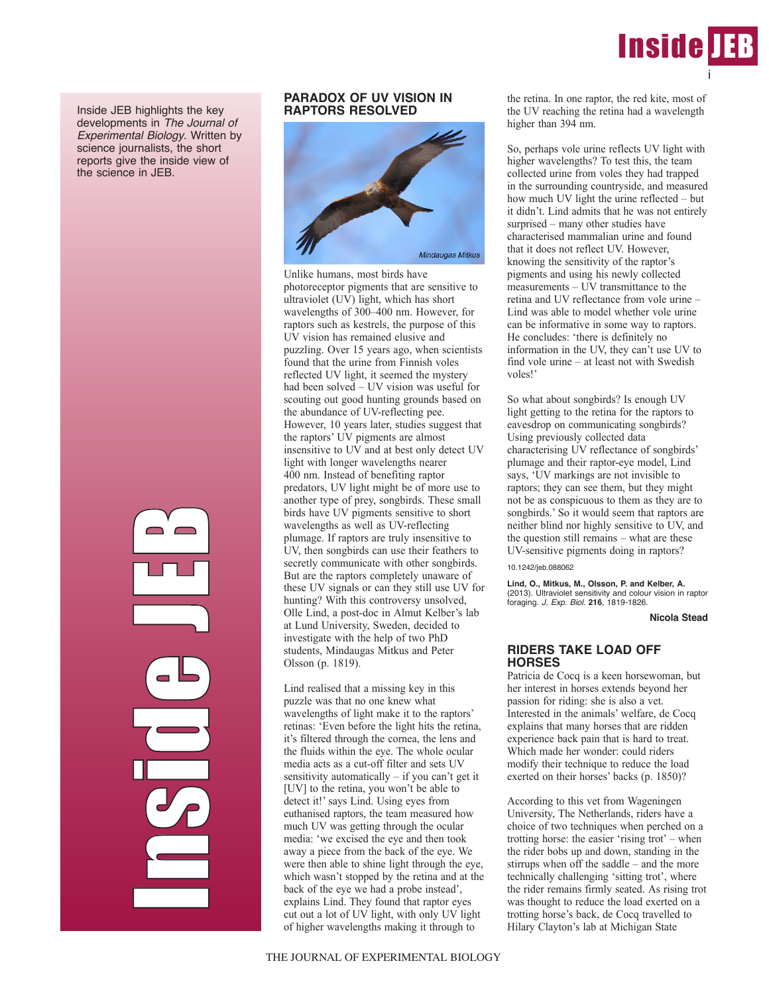

Inside JEB highlights the key developments in *The Journal of Experimental Biology*. Written by science journalists, the short reports give the inside view of the science in JEB.



# **PARADOX OF UV VISION IN RAPTORS RESOLVED**



Unlike humans, most birds have photoreceptor pigments that are sensitive to ultraviolet (UV) light, which has short wavelengths of 300–400 nm. However, for raptors such as kestrels, the purpose of this UV vision has remained elusive and puzzling. Over 15 years ago, when scientists found that the urine from Finnish voles reflected UV light, it seemed the mystery had been solved – UV vision was useful for scouting out good hunting grounds based on the abundance of UV-reflecting pee. However, 10 years later, studies suggest that the raptors' UV pigments are almost insensitive to UV and at best only detect UV light with longer wavelengths nearer 400 nm. Instead of benefiting raptor predators, UV light might be of more use to another type of prey, songbirds. These small birds have UV pigments sensitive to short wavelengths as well as UV-reflecting plumage. If raptors are truly insensitive to UV, then songbirds can use their feathers to secretly communicate with other songbirds. But are the raptors completely unaware of these UV signals or can they still use UV for hunting? With this controversy unsolved, Olle Lind, a post-doc in Almut Kelber's lab at Lund University, Sweden, decided to investigate with the help of two PhD students, Mindaugas Mitkus and Peter Olsson (p. 1819).

Lind realised that a missing key in this puzzle was that no one knew what wavelengths of light make it to the raptors' retinas: 'Even before the light hits the retina, it's filtered through the cornea, the lens and the fluids within the eye. The whole ocular media acts as a cut-off filter and sets UV sensitivity automatically – if you can't get it [UV] to the retina, you won't be able to detect it!' says Lind. Using eyes from euthanised raptors, the team measured how much UV was getting through the ocular media: 'we excised the eye and then took away a piece from the back of the eye. We were then able to shine light through the eye, which wasn't stopped by the retina and at the back of the eye we had a probe instead', explains Lind. They found that raptor eyes cut out a lot of UV light, with only UV light of higher wavelengths making it through to

So, perhaps vole urine reflects UV light with higher wavelengths? To test this, the team collected urine from voles they had trapped in the surrounding countryside, and measured how much UV light the urine reflected – but it didn't. Lind admits that he was not entirely surprised – many other studies have characterised mammalian urine and found that it does not reflect UV. However, knowing the sensitivity of the raptor's pigments and using his newly collected measurements – UV transmittance to the retina and UV reflectance from vole urine – Lind was able to model whether vole urine can be informative in some way to raptors. He concludes: 'there is definitely no information in the UV, they can't use UV to find vole urine – at least not with Swedish voles!'

So what about songbirds? Is enough UV light getting to the retina for the raptors to eavesdrop on communicating songbirds? Using previously collected data characterising UV reflectance of songbirds' plumage and their raptor-eye model, Lind says, 'UV markings are not invisible to raptors; they can see them, but they might not be as conspicuous to them as they are to songbirds.' So it would seem that raptors are neither blind nor highly sensitive to UV, and the question still remains – what are these UV-sensitive pigments doing in raptors?

### 10.1242/jeb.088062

**Lind, O., Mitkus, M., Olsson, P. and Kelber, A.** (2013). Ultraviolet sensitivity and colour vision in raptor foraging. *J. Exp. Biol.* **216**, 1819-1826.

**Nicola Stead**

## **RIDERS TAKE LOAD OFF HORSES**

Patricia de Cocq is a keen horsewoman, but her interest in horses extends beyond her passion for riding: she is also a vet. Interested in the animals' welfare, de Cocq explains that many horses that are ridden experience back pain that is hard to treat. Which made her wonder: could riders modify their technique to reduce the load exerted on their horses' backs (p. 1850)?

According to this vet from Wageningen University, The Netherlands, riders have a choice of two techniques when perched on a trotting horse: the easier 'rising trot' – when the rider bobs up and down, standing in the stirrups when off the saddle – and the more technically challenging 'sitting trot', where the rider remains firmly seated. As rising trot was thought to reduce the load exerted on a trotting horse's back, de Cocq travelled to Hilary Clayton's lab at Michigan State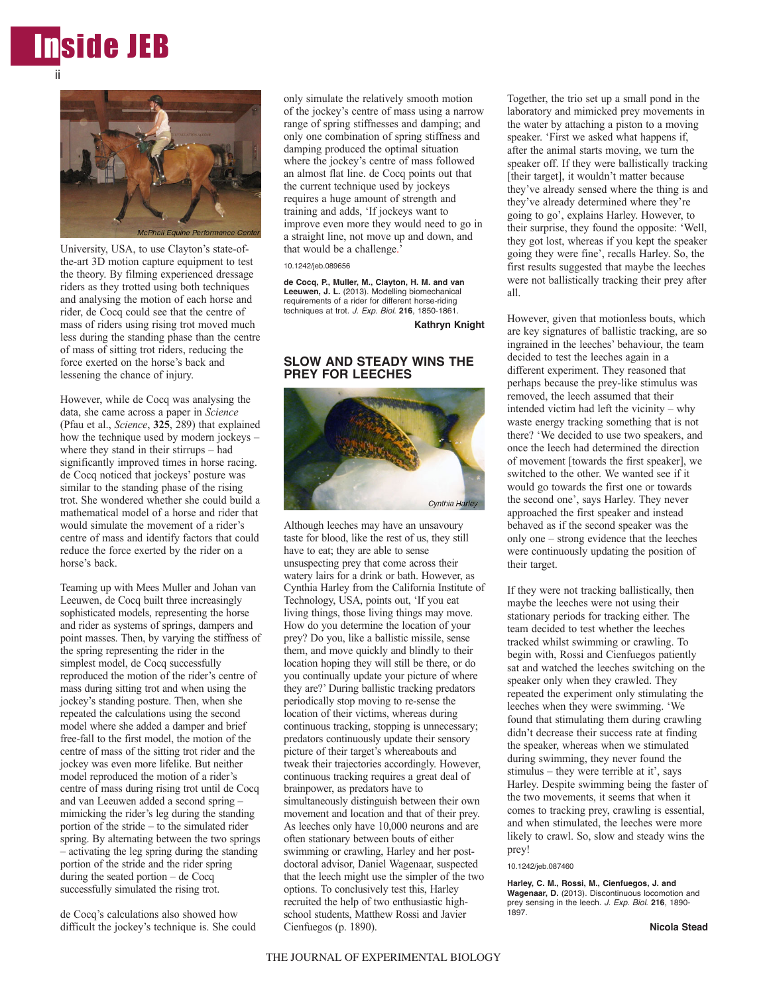



University, USA, to use Clayton's state-ofthe-art 3D motion capture equipment to test the theory. By filming experienced dressage riders as they trotted using both techniques and analysing the motion of each horse and rider, de Cocq could see that the centre of mass of riders using rising trot moved much less during the standing phase than the centre of mass of sitting trot riders, reducing the force exerted on the horse's back and lessening the chance of injury.

However, while de Cocq was analysing the data, she came across a paper in *Science* (Pfau et al., *Science*, **325**, 289) that explained how the technique used by modern jockeys – where they stand in their stirrups – had significantly improved times in horse racing. de Cocq noticed that jockeys' posture was similar to the standing phase of the rising trot. She wondered whether she could build a mathematical model of a horse and rider that would simulate the movement of a rider's centre of mass and identify factors that could reduce the force exerted by the rider on a horse's back.

Teaming up with Mees Muller and Johan van Leeuwen, de Cocq built three increasingly sophisticated models, representing the horse and rider as systems of springs, dampers and point masses. Then, by varying the stiffness of the spring representing the rider in the simplest model, de Cocq successfully reproduced the motion of the rider's centre of mass during sitting trot and when using the jockey's standing posture. Then, when she repeated the calculations using the second model where she added a damper and brief free-fall to the first model, the motion of the centre of mass of the sitting trot rider and the jockey was even more lifelike. But neither model reproduced the motion of a rider's centre of mass during rising trot until de Cocq and van Leeuwen added a second spring – mimicking the rider's leg during the standing portion of the stride – to the simulated rider spring. By alternating between the two springs – activating the leg spring during the standing portion of the stride and the rider spring during the seated portion – de Cocq successfully simulated the rising trot.

de Cocq's calculations also showed how difficult the jockey's technique is. She could only simulate the relatively smooth motion of the jockey's centre of mass using a narrow range of spring stiffnesses and damping; and only one combination of spring stiffness and damping produced the optimal situation where the jockey's centre of mass followed an almost flat line. de Cocq points out that the current technique used by jockeys requires a huge amount of strength and training and adds, 'If jockeys want to improve even more they would need to go in a straight line, not move up and down, and that would be a challenge.'

10.1242/jeb.089656

**de Cocq, P., Muller, M., Clayton, H. M. and van Leeuwen, J. L.** (2013). Modelling biomechanical requirements of a rider for different horse-riding techniques at trot. *J. Exp. Biol*. **216**, 1850-1861.

**Kathryn Knight**

## **SLOW AND STEADY WINS THE PREY FOR LEECHES**



Although leeches may have an unsavoury taste for blood, like the rest of us, they still have to eat; they are able to sense unsuspecting prey that come across their watery lairs for a drink or bath. However, as Cynthia Harley from the California Institute of Technology, USA, points out, 'If you eat living things, those living things may move. How do you determine the location of your prey? Do you, like a ballistic missile, sense them, and move quickly and blindly to their location hoping they will still be there, or do you continually update your picture of where they are?' During ballistic tracking predators periodically stop moving to re-sense the location of their victims, whereas during continuous tracking, stopping is unnecessary; predators continuously update their sensory picture of their target's whereabouts and tweak their trajectories accordingly. However, continuous tracking requires a great deal of brainpower, as predators have to simultaneously distinguish between their own movement and location and that of their prey. As leeches only have 10,000 neurons and are often stationary between bouts of either swimming or crawling, Harley and her postdoctoral advisor, Daniel Wagenaar, suspected that the leech might use the simpler of the two options. To conclusively test this, Harley recruited the help of two enthusiastic highschool students, Matthew Rossi and Javier Cienfuegos (p. 1890).

Together, the trio set up a small pond in the laboratory and mimicked prey movements in the water by attaching a piston to a moving speaker. 'First we asked what happens if, after the animal starts moving, we turn the speaker off. If they were ballistically tracking [their target], it wouldn't matter because they've already sensed where the thing is and they've already determined where they're going to go', explains Harley. However, to their surprise, they found the opposite: 'Well, they got lost, whereas if you kept the speaker going they were fine', recalls Harley. So, the first results suggested that maybe the leeches were not ballistically tracking their prey after all.

However, given that motionless bouts, which are key signatures of ballistic tracking, are so ingrained in the leeches' behaviour, the team decided to test the leeches again in a different experiment. They reasoned that perhaps because the prey-like stimulus was removed, the leech assumed that their intended victim had left the vicinity – why waste energy tracking something that is not there? 'We decided to use two speakers, and once the leech had determined the direction of movement [towards the first speaker], we switched to the other. We wanted see if it would go towards the first one or towards the second one', says Harley. They never approached the first speaker and instead behaved as if the second speaker was the only one – strong evidence that the leeches were continuously updating the position of their target.

If they were not tracking ballistically, then maybe the leeches were not using their stationary periods for tracking either. The team decided to test whether the leeches tracked whilst swimming or crawling. To begin with, Rossi and Cienfuegos patiently sat and watched the leeches switching on the speaker only when they crawled. They repeated the experiment only stimulating the leeches when they were swimming. 'We found that stimulating them during crawling didn't decrease their success rate at finding the speaker, whereas when we stimulated during swimming, they never found the stimulus – they were terrible at it', says Harley. Despite swimming being the faster of the two movements, it seems that when it comes to tracking prey, crawling is essential, and when stimulated, the leeches were more likely to crawl. So, slow and steady wins the prey!

#### 10.1242/jeb.087460

**Harley, C. M., Rossi, M., Cienfuegos, J. and Wagenaar, D.** (2013). Discontinuous locomotion and prey sensing in the leech. *J. Exp. Biol.* **216**, 1890- 1897.